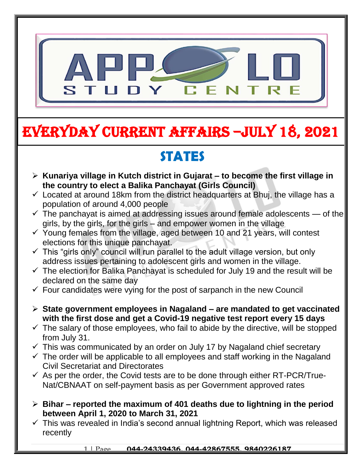

# EVERYDAY CURRENT AFFAIRS –jULY 18, 2021

## **STATES**

-

- **Kunariya village in Kutch district in Gujarat – to become the first village in the country to elect a Balika Panchayat (Girls Council)**
- $\checkmark$  Located at around 18km from the district headquarters at Bhuj, the village has a population of around 4,000 people
- $\checkmark$  The panchayat is aimed at addressing issues around female adolescents  $-$  of the girls, by the girls, for the girls – and empower women in the village
- $\checkmark$  Young females from the village, aged between 10 and 21 years, will contest elections for this unique panchayat.
- $\checkmark$  This "girls only" council will run parallel to the adult village version, but only address issues pertaining to adolescent girls and women in the village.
- $\checkmark$  The election for Balika Panchayat is scheduled for July 19 and the result will be declared on the same day
- $\checkmark$  Four candidates were vying for the post of sarpanch in the new Council
- **State government employees in Nagaland – are mandated to get vaccinated with the first dose and get a Covid-19 negative test report every 15 days**
- $\checkmark$  The salary of those employees, who fail to abide by the directive, will be stopped from July 31.
- $\checkmark$  This was communicated by an order on July 17 by Nagaland chief secretary
- $\checkmark$  The order will be applicable to all employees and staff working in the Nagaland Civil Secretariat and Directorates
- $\checkmark$  As per the order, the Covid tests are to be done through either RT-PCR/True-Nat/CBNAAT on self-payment basis as per Government approved rates
- **Bihar – reported the maximum of 401 deaths due to lightning in the period between April 1, 2020 to March 31, 2021**
- $\checkmark$  This was revealed in India's second annual lightning Report, which was released recently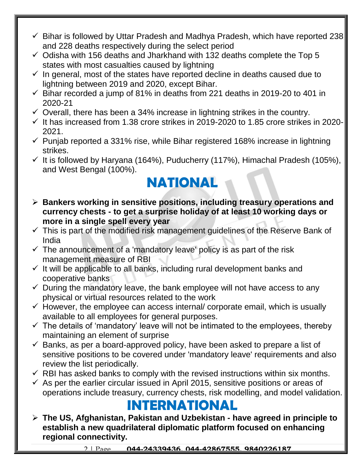- $\checkmark$  Bihar is followed by Uttar Pradesh and Madhya Pradesh, which have reported 238 and 228 deaths respectively during the select period
- $\checkmark$  Odisha with 156 deaths and Jharkhand with 132 deaths complete the Top 5 states with most casualties caused by lightning
- $\checkmark$  In general, most of the states have reported decline in deaths caused due to lightning between 2019 and 2020, except Bihar.
- $\checkmark$  Bihar recorded a jump of 81% in deaths from 221 deaths in 2019-20 to 401 in 2020-21
- $\checkmark$  Overall, there has been a 34% increase in lightning strikes in the country.
- $\checkmark$  It has increased from 1.38 crore strikes in 2019-2020 to 1.85 crore strikes in 2020-2021.
- $\checkmark$  Punjab reported a 331% rise, while Bihar registered 168% increase in lightning strikes.
- $\checkmark$  It is followed by Haryana (164%), Puducherry (117%), Himachal Pradesh (105%), and West Bengal (100%).

### **NATIONAL**

- **Bankers working in sensitive positions, including treasury operations and currency chests - to get a surprise holiday of at least 10 working days or more in a single spell every year**
- $\checkmark$  This is part of the modified risk management guidelines of the Reserve Bank of India
- $\checkmark$  The announcement of a 'mandatory leave' policy is as part of the risk management measure of RBI
- $\checkmark$  It will be applicable to all banks, including rural development banks and cooperative banks
- $\checkmark$  During the mandatory leave, the bank employee will not have access to any physical or virtual resources related to the work
- $\checkmark$  However, the employee can access internal/ corporate email, which is usually available to all employees for general purposes.
- $\checkmark$  The details of 'mandatory' leave will not be intimated to the employees, thereby maintaining an element of surprise
- $\checkmark$  Banks, as per a board-approved policy, have been asked to prepare a list of sensitive positions to be covered under 'mandatory leave' requirements and also review the list periodically.
- $\checkmark$  RBI has asked banks to comply with the revised instructions within six months.
- $\checkmark$  As per the earlier circular issued in April 2015, sensitive positions or areas of operations include treasury, currency chests, risk modelling, and model validation.

### **INTERNATIONAL**

 **The US, Afghanistan, Pakistan and Uzbekistan - have agreed in principle to establish a new quadrilateral diplomatic platform focused on enhancing regional connectivity.**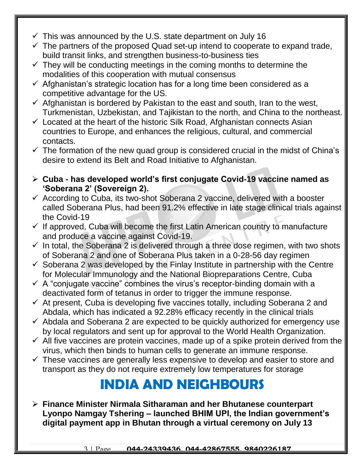- $\checkmark$  This was announced by the U.S. state department on July 16
- $\checkmark$  The partners of the proposed Quad set-up intend to cooperate to expand trade, build transit links, and strengthen business-to-business ties
- $\checkmark$  They will be conducting meetings in the coming months to determine the modalities of this cooperation with mutual consensus
- $\checkmark$  Afghanistan's strategic location has for a long time been considered as a competitive advantage for the US.
- $\checkmark$  Afghanistan is bordered by Pakistan to the east and south, Iran to the west, Turkmenistan, Uzbekistan, and Tajikistan to the north, and China to the northeast.
- $\checkmark$  Located at the heart of the historic Silk Road, Afghanistan connects Asian countries to Europe, and enhances the religious, cultural, and commercial contacts.
- $\checkmark$  The formation of the new quad group is considered crucial in the midst of China's desire to extend its Belt and Road Initiative to Afghanistan.
- **Cuba - has developed world's first conjugate Covid-19 vaccine named as 'Soberana 2' (Sovereign 2).**
- $\checkmark$  According to Cuba, its two-shot Soberana 2 vaccine, delivered with a booster called Soberana Plus, had been 91.2% effective in late stage clinical trials against the Covid-19
- $\checkmark$  If approved, Cuba will become the first Latin American country to manufacture and produce a vaccine against Covid-19.
- $\checkmark$  In total, the Soberana 2 is delivered through a three dose regimen, with two shots of Soberana 2 and one of Soberana Plus taken in a 0-28-56 day regimen
- $\checkmark$  Soberana 2 was developed by the Finlay Institute in partnership with the Centre for Molecular Immunology and the National Biopreparations Centre, Cuba
- $\checkmark$  A "conjugate vaccine" combines the virus's receptor-binding domain with a deactivated form of tetanus in order to trigger the immune response.
- $\checkmark$  At present, Cuba is developing five vaccines totally, including Soberana 2 and Abdala, which has indicated a 92.28% efficacy recently in the clinical trials
- $\checkmark$  Abdala and Soberana 2 are expected to be quickly authorized for emergency use by local regulators and sent up for approval to the World Health Organization.
- $\checkmark$  All five vaccines are protein vaccines, made up of a spike protein derived from the virus, which then binds to human cells to generate an immune response.
- $\checkmark$  These vaccines are generally less expensive to develop and easier to store and transport as they do not require extremely low temperatures for storage

## **INDIA AND NEIGHBOURS**

 **Finance Minister Nirmala Sitharaman and her Bhutanese counterpart Lyonpo Namgay Tshering – launched BHIM UPI, the Indian government's digital payment app in Bhutan through a virtual ceremony on July 13**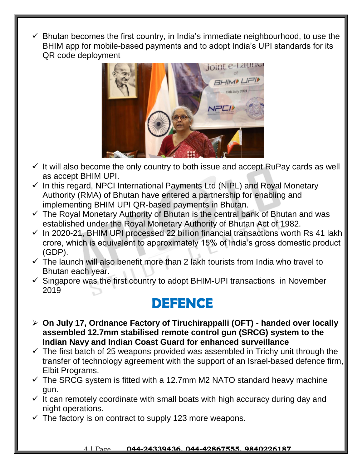$\checkmark$  Bhutan becomes the first country, in India's immediate neighbourhood, to use the BHIM app for mobile-based payments and to adopt India's UPI standards for its QR code deployment



- $\checkmark$  It will also become the only country to both issue and accept RuPay cards as well as accept BHIM UPI.
- $\checkmark$  In this regard, NPCI International Payments Ltd (NIPL) and Royal Monetary Authority (RMA) of Bhutan have entered a partnership for enabling and implementing BHIM UPI QR-based payments in Bhutan.
- $\checkmark$  The Royal Monetary Authority of Bhutan is the central bank of Bhutan and was established under the Royal Monetary Authority of Bhutan Act of 1982.
- $\checkmark$  In 2020-21, BHIM UPI processed 22 billion financial transactions worth Rs 41 lakh crore, which is equivalent to approximately 15% of India's gross domestic product (GDP).
- $\checkmark$  The launch will also benefit more than 2 lakh tourists from India who travel to Bhutan each year.
- $\checkmark$  Singapore was the first country to adopt BHIM-UPI transactions in November 2019

#### **DEFENCE**

- **On July 17, Ordnance Factory of Tiruchirappalli (OFT) - handed over locally assembled 12.7mm stabilised remote control gun (SRCG) system to the Indian Navy and Indian Coast Guard for enhanced surveillance**
- $\checkmark$  The first batch of 25 weapons provided was assembled in Trichy unit through the transfer of technology agreement with the support of an Israel-based defence firm, Elbit Programs.
- $\checkmark$  The SRCG system is fitted with a 12.7mm M2 NATO standard heavy machine gun.
- $\checkmark$  It can remotely coordinate with small boats with high accuracy during day and night operations.
- $\checkmark$  The factory is on contract to supply 123 more weapons.